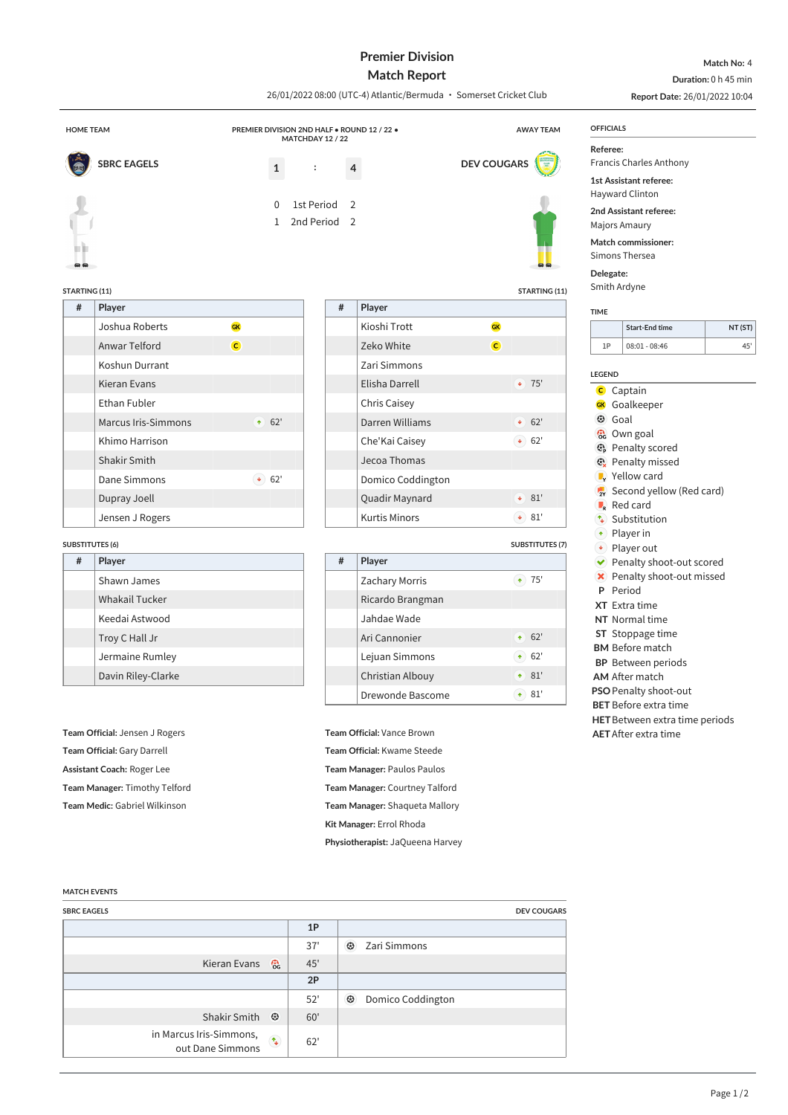## **Premier Division**

**Match No:** 4 **Duration:** 0 h 45 min

|                                      | <b>Match Report</b>                                               |                   |                      |                                                                 |                                                           | Duration: 0 h 45 min |                               |                                                                             |                                                                                                      |         |  |
|--------------------------------------|-------------------------------------------------------------------|-------------------|----------------------|-----------------------------------------------------------------|-----------------------------------------------------------|----------------------|-------------------------------|-----------------------------------------------------------------------------|------------------------------------------------------------------------------------------------------|---------|--|
|                                      | 26/01/2022 08:00 (UTC-4) Atlantic/Bermuda · Somerset Cricket Club |                   |                      |                                                                 |                                                           |                      | Report Date: 26/01/2022 10:04 |                                                                             |                                                                                                      |         |  |
| <b>HOME TEAM</b><br>MATCHDAY 12 / 22 |                                                                   |                   |                      | PREMIER DIVISION 2ND HALF . ROUND 12 / 22 .<br><b>AWAY TEAM</b> |                                                           |                      |                               |                                                                             | <b>OFFICIALS</b>                                                                                     |         |  |
|                                      | <b>SBRC EAGELS</b><br>$\mathbf{1}$                                |                   | $\ddot{\phantom{a}}$ | 4                                                               |                                                           | <b>DEV COUGARS</b>   |                               | Referee:<br><b>Francis Charles Anthony</b><br><b>1st Assistant referee:</b> |                                                                                                      |         |  |
|                                      |                                                                   | 0<br>$\mathbf{1}$ | 1st Period           | 2<br>2nd Period <sub>2</sub>                                    |                                                           |                      |                               | Delegate:<br>Smith Ardyne                                                   | Hayward Clinton<br>2nd Assistant referee:<br>Majors Amaury<br>Match commissioner:<br>Simons Thersea  |         |  |
| <b>STARTING (11)</b><br>#            | Player                                                            |                   |                      | #                                                               | Player                                                    |                      | STARTING (11)                 |                                                                             |                                                                                                      |         |  |
|                                      | Joshua Roberts                                                    | GK                |                      |                                                                 | Kioshi Trott                                              | <b>GK</b>            |                               | <b>TIME</b>                                                                 | <b>Start-End time</b>                                                                                | NT (ST) |  |
|                                      | Anwar Telford                                                     | $\mathsf{C}$      |                      |                                                                 | Zeko White                                                | $\mathsf{C}$         |                               | 1P                                                                          | $08:01 - 08:46$                                                                                      | 45'     |  |
|                                      | Koshun Durrant                                                    |                   |                      |                                                                 | Zari Simmons                                              |                      |                               |                                                                             |                                                                                                      |         |  |
|                                      | Kieran Evans                                                      |                   |                      |                                                                 | Elisha Darrell                                            |                      | $+ 75'$                       | <b>LEGEND</b>                                                               |                                                                                                      |         |  |
|                                      | Ethan Fubler                                                      |                   |                      |                                                                 | <b>Chris Caisey</b>                                       |                      |                               |                                                                             | <b>C</b> Captain<br><b>GK</b> Goalkeeper                                                             |         |  |
|                                      | <b>Marcus Iris-Simmons</b>                                        | 62'<br>$\uparrow$ |                      |                                                                 | Darren Williams                                           |                      | 62'<br>$\ddot{\bullet}$       | <b>3</b> Goal                                                               |                                                                                                      |         |  |
|                                      | Khimo Harrison                                                    |                   |                      |                                                                 | Che'Kai Caisey                                            |                      | $\bullet$ 62'                 |                                                                             | <b>c</b> Own goal                                                                                    |         |  |
|                                      | Shakir Smith                                                      |                   |                      |                                                                 | Jecoa Thomas                                              |                      |                               |                                                                             | <b>B</b> Penalty scored<br><b>@</b> Penalty missed                                                   |         |  |
|                                      | Dane Simmons                                                      | $\bullet$ 62'     |                      |                                                                 | Domico Coddington                                         |                      |                               |                                                                             | $\mathbb{F}_{\mathsf{Y}}$ Yellow card                                                                |         |  |
|                                      | Dupray Joell                                                      |                   |                      |                                                                 | Quadir Maynard                                            |                      | $* 81'$                       |                                                                             | 2v Second yellow (Red card)                                                                          |         |  |
|                                      | Jensen J Rogers                                                   |                   |                      |                                                                 | <b>Kurtis Minors</b>                                      |                      | $\bullet$ 81'                 |                                                                             | Red card<br>$\left(\mathbf{\hat{u}}\right)$ Substitution                                             |         |  |
|                                      |                                                                   |                   |                      |                                                                 |                                                           |                      |                               | $\left( \mathbf{\hat{r}}\right)$                                            | Player in                                                                                            |         |  |
| <b>SUBSTITUTES (6)</b><br>#          | Player                                                            |                   |                      | $\#$                                                            | Player                                                    |                      | <b>SUBSTITUTES (7)</b>        |                                                                             | $\blacklozenge$ Player out<br>Penalty shoot-out scored                                               |         |  |
|                                      | Shawn James                                                       |                   |                      |                                                                 | <b>Zachary Morris</b>                                     |                      | $(*) 75'$                     |                                                                             | <b>X</b> Penalty shoot-out missed                                                                    |         |  |
|                                      | Whakail Tucker                                                    |                   |                      |                                                                 | Ricardo Brangman                                          |                      |                               |                                                                             | P Period                                                                                             |         |  |
|                                      | Keedai Astwood                                                    |                   |                      |                                                                 | Jahdae Wade                                               |                      |                               |                                                                             | XT Extra time<br>NT Normal time                                                                      |         |  |
|                                      | Troy C Hall Jr                                                    |                   |                      |                                                                 | Ari Cannonier                                             |                      | $+ 62'$                       |                                                                             | ST Stoppage time                                                                                     |         |  |
|                                      | Jermaine Rumley                                                   |                   |                      |                                                                 | Lejuan Simmons                                            |                      | $\bullet$ 62'                 |                                                                             | <b>BM</b> Before match                                                                               |         |  |
|                                      | Davin Riley-Clarke                                                |                   |                      |                                                                 | Christian Albouy                                          |                      | $* 81'$                       |                                                                             | <b>BP</b> Between periods                                                                            |         |  |
|                                      |                                                                   |                   |                      |                                                                 | Drewonde Bascome                                          |                      | $\star$ 81'                   |                                                                             | <b>AM</b> After match<br>PSO Penalty shoot-out                                                       |         |  |
|                                      | Team Official: Jensen J Rogers<br>Team Official: Gary Darrell     |                   |                      |                                                                 | Team Official: Vance Brown<br>Team Official: Kwame Steede |                      |                               |                                                                             | <b>BET</b> Before extra time<br><b>HET</b> Between extra time periods<br><b>AET</b> After extra time |         |  |
| Assistant Coach: Roger Lee           |                                                                   |                   |                      | Team Manager: Paulos Paulos<br>Team Manager: Courtney Talford   |                                                           |                      |                               |                                                                             |                                                                                                      |         |  |
| Team Manager: Timothy Telford        |                                                                   |                   |                      | Team Manager: Shaqueta Mallory                                  |                                                           |                      |                               |                                                                             |                                                                                                      |         |  |
| Team Medic: Gabriel Wilkinson        |                                                                   |                   |                      | Kit Manager: Errol Rhoda                                        |                                                           |                      |                               |                                                                             |                                                                                                      |         |  |

**Physiotherapist:** JaQueena Harvey

## **MATCH EVENTS**

| <b>SBRC EAGELS</b>                          |                          |     | <b>DEV COUGARS</b>           |
|---------------------------------------------|--------------------------|-----|------------------------------|
|                                             |                          | 1P  |                              |
|                                             |                          | 37' | $\odot$<br>Zari Simmons      |
| Kieran Evans                                | ි                        | 45' |                              |
|                                             |                          | 2P  |                              |
|                                             |                          | 52' | $\odot$<br>Domico Coddington |
| Shakir Smith                                | $\odot$                  | 60' |                              |
| in Marcus Iris-Simmons,<br>out Dane Simmons | $\overline{\mathcal{L}}$ | 62' |                              |